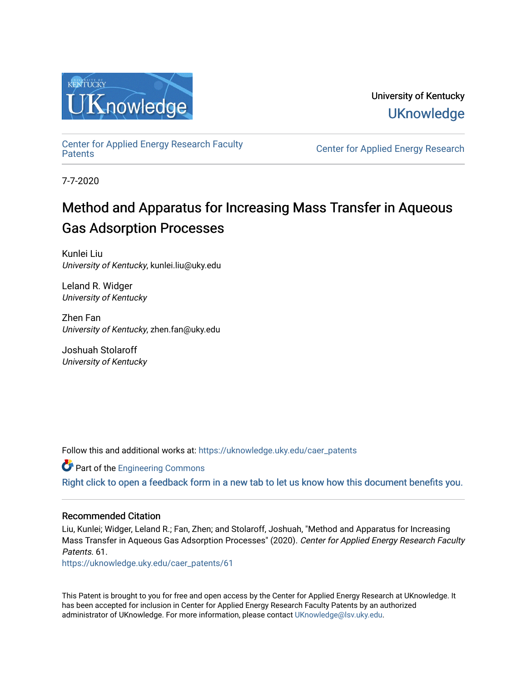

University of Kentucky **UKnowledge** 

[Center for Applied Energy Research Faculty](https://uknowledge.uky.edu/caer_patents)

Center for Applied Energy Research

7-7-2020

# Method and Apparatus for Increasing Mass Transfer in Aqueous Gas Adsorption Processes

Kunlei Liu University of Kentucky, kunlei.liu@uky.edu

Leland R. Widger University of Kentucky

Zhen Fan University of Kentucky, zhen.fan@uky.edu

Joshuah Stolaroff University of Kentucky

Follow this and additional works at: [https://uknowledge.uky.edu/caer\\_patents](https://uknowledge.uky.edu/caer_patents?utm_source=uknowledge.uky.edu%2Fcaer_patents%2F61&utm_medium=PDF&utm_campaign=PDFCoverPages) 

**Part of the [Engineering Commons](http://network.bepress.com/hgg/discipline/217?utm_source=uknowledge.uky.edu%2Fcaer_patents%2F61&utm_medium=PDF&utm_campaign=PDFCoverPages)** 

[Right click to open a feedback form in a new tab to let us know how this document benefits you.](https://uky.az1.qualtrics.com/jfe/form/SV_9mq8fx2GnONRfz7)

## Recommended Citation

Liu, Kunlei; Widger, Leland R.; Fan, Zhen; and Stolaroff, Joshuah, "Method and Apparatus for Increasing Mass Transfer in Aqueous Gas Adsorption Processes" (2020). Center for Applied Energy Research Faculty Patents. 61.

[https://uknowledge.uky.edu/caer\\_patents/61](https://uknowledge.uky.edu/caer_patents/61?utm_source=uknowledge.uky.edu%2Fcaer_patents%2F61&utm_medium=PDF&utm_campaign=PDFCoverPages)

This Patent is brought to you for free and open access by the Center for Applied Energy Research at UKnowledge. It has been accepted for inclusion in Center for Applied Energy Research Faculty Patents by an authorized administrator of UKnowledge. For more information, please contact [UKnowledge@lsv.uky.edu](mailto:UKnowledge@lsv.uky.edu).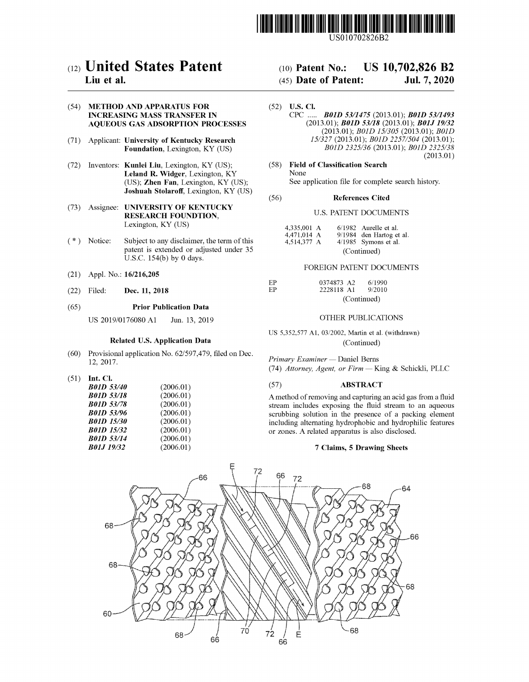

USO 10702826B2

## c12) **United States Patent**

### **Liu et al.**

#### (54) **METHOD AND APPARATUS FOR INCREASING MASS TRANSFER IN AQUEOUS GAS ADSORPTION PROCESSES**

- (71) Applicant: **University of Kentucky Research Foundation,** Lexington, KY (US)
- (72) Inventors: **Kunlei Liu,** Lexington, KY (US); **Leland R. Widger,** Lexington, KY (US); **Zhen Fan,** Lexington, KY (US); **Joshuah Stolaroff,** Lexington, KY (US)
- (73) Assignee: **UNIVERSITY OF KENTUCKY RESEARCH FOUNDTION,**  Lexington, KY (US)
- (\*) Notice: Subject to any disclaimer, the term of this patent is extended or adjusted under 35 U.S.C. 154(b) by O days.
- (21) Appl. No.: **16/216,205**
- (22) Filed: **Dec. 11, 2018**

#### (65) **Prior Publication Data**

US 2019/0176080 Al Jun. 13, 2019

#### **Related U.S. Application Data**

- (60) Provisional application No. 62/597,479, filed on Dec. 12, 2017.
- (51) **Int. Cl.**

| <b>B01D 53/40</b> | (2006.01) |
|-------------------|-----------|
| <b>B01D 53/18</b> | (2006.01) |
| <b>B01D 53/78</b> | (2006.01) |
| <b>B01D 53/96</b> | (2006.01) |
| <b>B01D 15/30</b> | (2006.01) |
| <b>B01D 15/32</b> | (2006.01) |
| <b>B01D 53/14</b> | (2006.01) |
| <b>B01J 19/32</b> | (2006.01) |

#### (IO) **Patent No.:**  US 10,702,826 B2

#### (45) **Date of Patent:**  Jul. 7, 2020

- (52) **U.S. Cl.**  CPC ..... *BOID 5311475* (2013.01); *BOID 53/1493*  (2013.01); *BOID 53/18* (2013.01); *BOJJ 19132*  (2013.01); *BOID 15/305* (2013.01); *BOID 15/327* (2013.01); *BOID 2257/504* (2013.01); *BOID 2325/36* (2013.01); *BOID 2325/38*  (2013.01)
- (58) **Field of Classification Search**  None See application file for complete search history.

#### (56) **References Cited**

#### U.S. PATENT DOCUMENTS

| 4,335,001 A |             |  | $6/1982$ Aurelle et al.  |  |
|-------------|-------------|--|--------------------------|--|
| 4.471.014 A |             |  | 9/1984 den Hartog et al. |  |
| 4,514,377 A |             |  | $4/1985$ Symons et al.   |  |
|             | (Continued) |  |                          |  |

#### FOREIGN PATENT DOCUMENTS

| EP | 0374873 A2  | 6/1990 |  |
|----|-------------|--------|--|
| FP | 2228118 A1  | 9/2010 |  |
|    | (Continued) |        |  |

#### OTHER PUBLICATIONS

US 5,352,577 Al, 03/2002, Martin et al. (withdrawn) (Continued)

*Primary Examiner* - Daniel Berns (74) *Attorney, Agent, or Firm* - King & Schickli, PLLC

#### (57) **ABSTRACT**

A method of removing and capturing an acid gas from a fluid stream includes exposing the fluid stream to an aqueous scrubbing solution in the presence of a packing element including alternating hydrophobic and hydrophilic features or zones. A related apparatus is also disclosed.

#### **7 Claims, 5 Drawing Sheets**

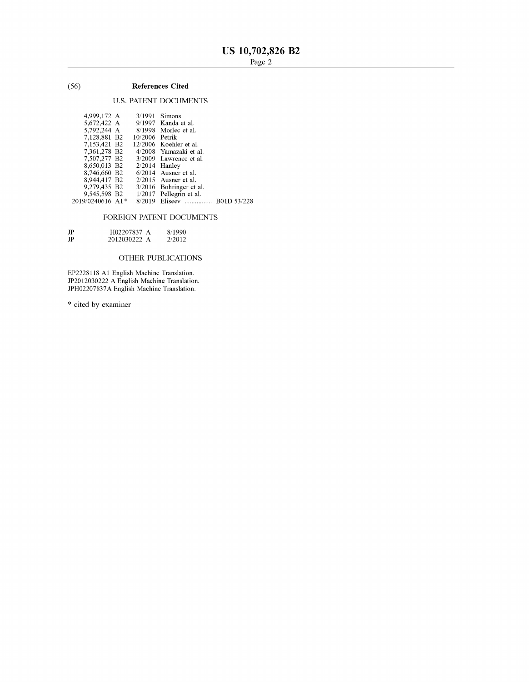#### (56) **References Cited**

#### U.S. PATENT DOCUMENTS

| 4.999,172 A      |                 | $3/1991$ Simons                      |  |
|------------------|-----------------|--------------------------------------|--|
| 5,672,422 A      |                 | 9/1997 Kanda et al.                  |  |
| 5.792.244 A      |                 | 8/1998 Morlec et al.                 |  |
| 7.128,881 B2     | 10/2006 Petrik  |                                      |  |
| 7,153,421 B2     |                 | 12/2006 Koehler et al.               |  |
| 7.361.278 B2     |                 | 4/2008 Yamazaki et al.               |  |
| 7,507,277 B2     |                 | $3/2009$ Lawrence et al.             |  |
| 8,650,013 B2     | $2/2014$ Hanley |                                      |  |
| 8,746,660 B2     |                 | $6/2014$ Ausner et al.               |  |
| 8,944,417 B2     |                 | $2/2015$ Ausner et al.               |  |
| 9,279,435 B2     |                 | 3/2016 Bohringer et al.              |  |
|                  |                 | 9,545,598 B2 1/2017 Pellegrin et al. |  |
| 2019/0240616 A1* |                 | 8/2019 Eliseev  B01D 53/228          |  |
|                  |                 |                                      |  |

#### FOREIGN PATENT DOCUMENTS

| JP | H02207837 A  | 8/1990 |
|----|--------------|--------|
| JP | 2012030222 A | 2/2012 |

#### OTHER PUBLICATIONS

EP2228118 Al English Machine Translation. JP2012030222 A English Machine Translation. JPH02207837A English Machine Translation.

\* cited by examiner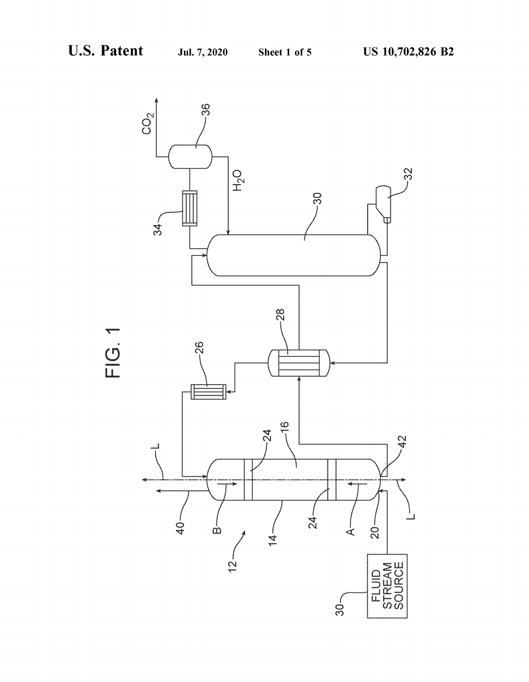

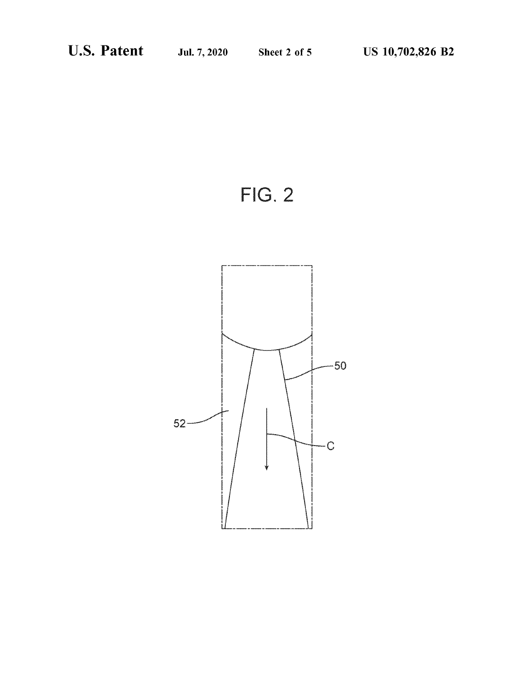

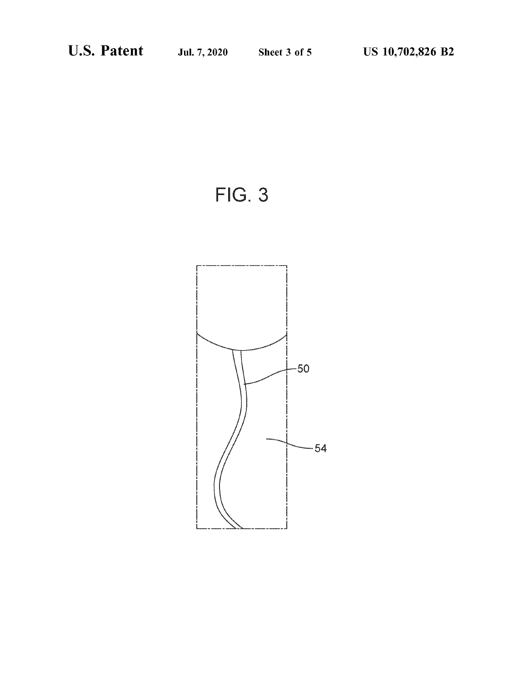$FIG. 3$ 

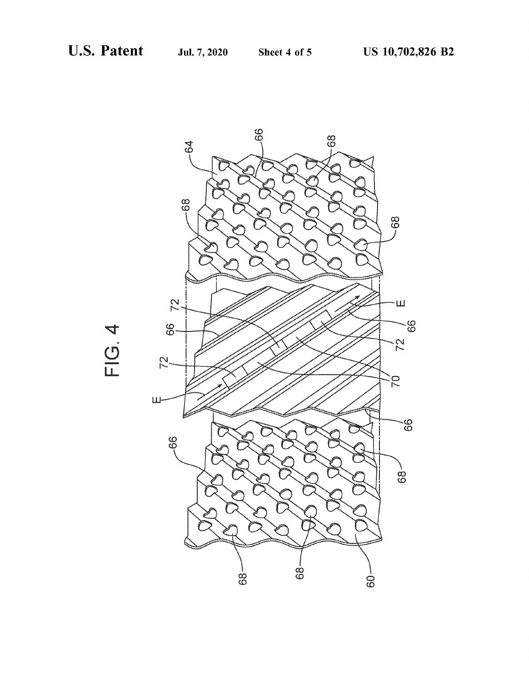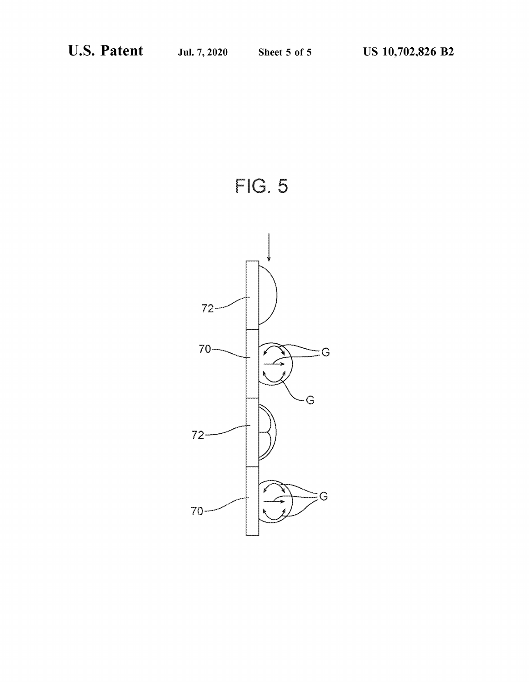

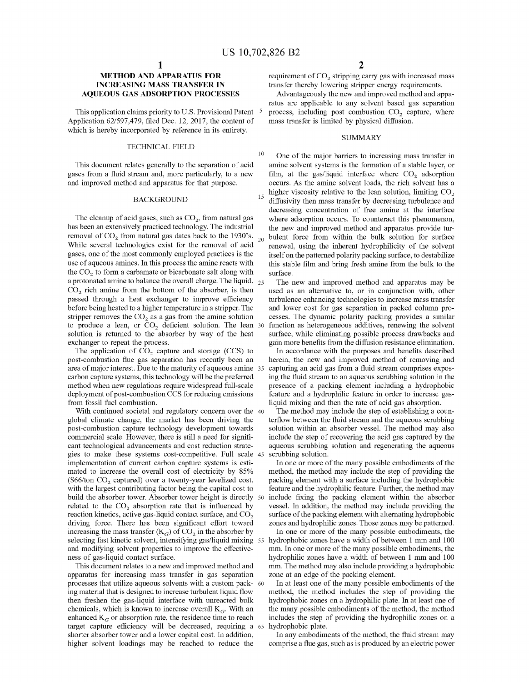10

#### **METHOD AND APPARATUS FOR INCREASING MASS TRANSFER IN AQUEOUS GAS ADSORPTION PROCESSES**

This application claims priority to U.S. Provisional Patent <sup>5</sup> Application 62/597,479, filed Dec. 12, 2017, the content of which is hereby incorporated by reference in its entirety.

#### TECHNICAL FIELD

This document relates generally to the separation of acid gases from a fluid stream and, more particularly, to a new and improved method and apparatus for that purpose.

#### BACKGROUND

The cleanup of acid gases, such as  $CO<sub>2</sub>$ , from natural gas has been an extensively practiced technology. The industrial removal of  $CO_2$  from natural gas dates back to the 1930's.  $_{20}$ While several technologies exist for the removal of acid gases, one of the most commonly employed practices is the use of aqueous amines. In this process the amine reacts with the  $CO<sub>2</sub>$  to form a carbamate or bicarbonate salt along with a protonated amine to balance the overall charge. The liquid,  $_{25}$  $CO<sub>2</sub>$  rich amine from the bottom of the absorber, is then passed through a heat exchanger to improve efficiency before being heated to a higher temperature in a stripper. The stripper removes the  $CO<sub>2</sub>$  as a gas from the amine solution to produce a lean, or  $CO<sub>2</sub>$  deficient solution. The lean 30 solution is returned to the absorber by way of the heat exchanger to repeat the process.

The application of  $CO<sub>2</sub>$  capture and storage (CCS) to post-combustion flue gas separation has recently been an area of major interest. Due to the maturity of aqueous amine 35 carbon capture systems, this technology will be the preferred method when new regulations require widespread full-scale deployment of post-combustion CCS for reducing emissions from fossil fuel combustion.

With continued societal and regulatory concern over the 40 global climate change, the market has been driving the post-combustion capture technology development towards commercial scale. However, there is still a need for significant technological advancements and cost reduction strategies to make these systems cost-competitive. Full scale implementation of current carbon capture systems is estimated to increase the overall cost of electricity by 85% (\$66/ton  $CO<sub>2</sub>$  captured) over a twenty-year levelized cost, with the largest contributing factor being the capital cost to build the absorber tower. Absorber tower height is directly 50 related to the  $CO<sub>2</sub>$  absorption rate that is influenced by reaction kinetics, active gas-liquid contact surface, and CO<sub>2</sub> driving force. There has been significant effort toward increasing the mass transfer  $(K_G)$  of  $CO<sub>2</sub>$  in the absorber by selecting fast kinetic solvent, intensifying gas/liquid mixing 55 and modifying solvent properties to improve the effectiveness of gas-liquid contact surface.

apparatus for increasing mass transfer in gas separation processes that utilize aqueous solvents with a custom pack- 60 ing material that is designed to increase turbulent liquid flow then freshen the gas-liquid interface with unreacted bulk chemicals, which is known to increase overall  $K_G$ . With an enhanced  $K_G$  or absorption rate, the residence time to reach target capture efficiency will be decreased, requiring a shorter absorber tower and a lower capital cost. In addition, higher solvent loadings may be reached to reduce the

requirement of CO<sub>2</sub> stripping carry gas with increased mass transfer thereby lowering stripper energy requirements.

Advantageously the new and improved method and apparatus are applicable to any solvent based gas separation process, including post combustion CO<sub>2</sub> capture, where mass transfer is limited by physical diffusion.

#### **SUMMARY**

One of the major barriers to increasing mass transfer in amine solvent systems is the formation of a stable layer, or film, at the gas/liquid interface where  $CO<sub>2</sub>$  adsorption occurs. As the amine solvent loads, the rich solvent has a  $15$  higher viscosity relative to the lean solution, limiting  $CO<sub>2</sub>$ diffusivity then mass transfer by decreasing turbulence and decreasing concentration of free amine at the interface where adsorption occurs. To counteract this phenomenon, the new and improved method and apparatus provide turbulent force from within the bulk solution for surface renewal, using the inherent hydrophilicity of the solvent itself on the patterned polarity packing surface, to destabilize this stable film and bring fresh amine from the bulk to the surface.

The new and improved method and apparatus may be used as an alternative to, or in conjunction with, other turbulence enhancing technologies to increase mass transfer and lower cost for gas separation in packed colunm processes. The dynamic polarity packing provides a similar function as heterogeneous additives, renewing the solvent surface, while eliminating possible process drawbacks and gain more benefits from the diffusion resistance elimination.

In accordance with the purposes and benefits described herein, the new and improved method of removing and capturing an acid gas from a fluid stream comprises exposing the fluid stream to an aqueous scrubbing solution in the presence of a packing element including a hydrophobic feature and a hydrophilic feature in order to increase gasliquid mixing and then the rate of acid gas absorption.

The method may include the step of establishing a counterflow between the fluid stream and the aqueous scrubbing solution within an absorber vessel. The method may also include the step of recovering the acid gas captured by the aqueous scrubbing solution and regenerating the aqueous scrubbing solution.

In one or more of the many possible embodiments of the method, the method may include the step of providing the packing element with a surface including the hydrophobic feature and the hydrophilic feature. Further, the method may include fixing the packing element within the absorber vessel. In addition, the method may include providing the surface of the packing element with alternating hydrophobic zones and hydrophilic zones. Those zones may be patterned.

In one or more of the many possible embodiments, the hydrophobic zones have a width of between 1 mm and 100 mm. In one or more of the many possible embodiments, the hydrophilic zones have a width of between 1 mm and 100 This document relates to a new and improved method and mm. The method may also include providing a hydrophobic zone at an edge of the packing element.

> In at least one of the many possible embodiments of the method, the method includes the step of providing the hydrophobic zones on a hydrophilic plate. In at least one of the many possible embodiments of the method, the method includes the step of providing the hydrophilic zones on a 65 hydrophobic plate.

In any embodiments of the method, the fluid stream may comprise a flue gas, such as is produced by an electric power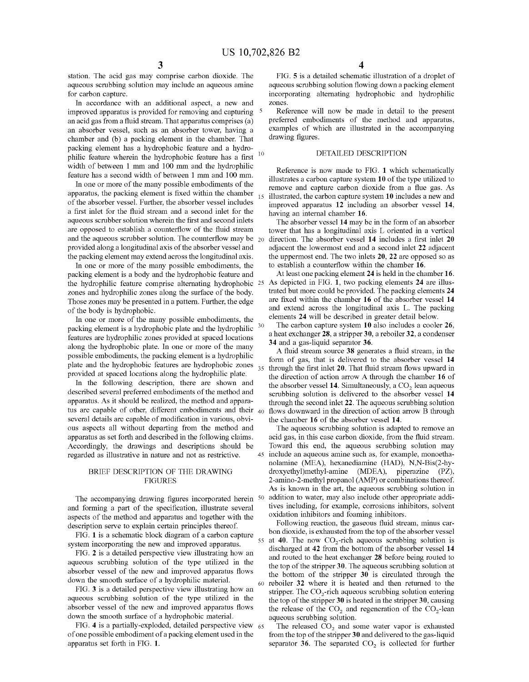station. The acid gas may comprise carbon dioxide. The aqueous scrubbing solution may include an aqueous amine for carbon capture.

In accordance with an additional aspect, a new and improved apparatus is provided for removing and capturing 5 an acid gas from a fluid stream. That apparatus comprises (a) an absorber vessel, such as an absorber tower, having a chamber and (b) a packing element in the chamber. That packing element has a hydrophobic feature and a hydrophilic feature wherein the hydrophobic feature has a first width of between 1 mm and 100 mm and the hydrophilic feature has a second width of between 1 mm and 100 mm. Reference is now made to FIG. **1** which schematically

In one or more of the many possible embodiments of the apparatus, the packing element is fixed within the chamber of the absorber vessel. Further, the absorber vessel includes a first inlet for the fluid stream and a second inlet for the aqueous scrubber solution wherein the first and second inlets are opposed to establish a counterflow of the fluid stream and the aqueous scrubber solution. The counterflow may be  $_{20}$ provided along a longitudinal axis of the absorber vessel and the packing element may extend across the longitudinal axis.

In one or more of the many possible embodiments, the packing element is a body and the hydrophobic feature and the hydrophilic feature comprise alternating hydrophobic 25 zones and hydrophilic zones along the surface of the body. Those zones may be presented in a pattern. Further, the edge of the body is hydrophobic.

In one or more of the many possible embodiments, the packing element is a hydrophobic plate and the hydrophilic <sup>30</sup> features are hydrophilic zones provided at spaced locations along the hydrophobic plate. In one or more of the many possible embodiments, the packing element is a hydrophilic plate and the hydrophobic features are hydrophobic zones  $35$ provided at spaced locations along the hydrophilic plate.

In the following description, there are shown and described several preferred embodiments of the method and apparatus. As it should be realized, the method and apparatus are capable of other, different embodiments and their  $40$ several details are capable of modification in various, obvious aspects all without departing from the method and apparatus as set forth and described in the following claims. Accordingly, the drawings and descriptions should be regarded as illustrative in nature and not as restrictive. 45 include an aqueous amine such as, for example, monoetha-

#### BRIEF DESCRIPTION OF THE DRAWING FIGURES

The accompanying drawing figures incorporated herein  $50$ and forming a part of the specification, illustrate several aspects of the method and apparatus and together with the description serve to explain certain principles thereof.

FIG. **1** is a schematic block diagram of a carbon capture system incorporating the new and improved apparatus.

FIG. **2** is a detailed perspective view illustrating how an aqueous scrubbing solution of the type utilized in the absorber vessel of the new and improved apparatus flows down the smooth surface of a hydrophilic material.

FIG. **3** is a detailed perspective view illustrating how an aqueous scrubbing solution of the type utilized in the absorber vessel of the new and improved apparatus flows down the smooth surface of a hydrophobic material.

FIG. 4 is a partially-exploded, detailed perspective view 65 of one possible embodiment of a packing element used in the apparatus set forth in FIG. **1.** 

FIG. **5** is a detailed schematic illustration of a droplet of aqueous scrubbing solution flowing down a packing element incorporating alternating hydrophobic and hydrophilic zones.

Reference will now be made in detail to the present preferred embodiments of the method and apparatus, examples of which are illustrated in the accompanying drawing figures.

#### DETAILED DESCRIPTION

illustrates a carbon capture system **10** of the type utilized to remove and capture carbon dioxide from a flue gas. As 15 illustrated, the carbon capture system **10** includes a new and improved apparatus **12** including an absorber vessel **14,**  having an internal chamber **16.** 

The absorber vessel **14** may be in the form of an absorber tower that has a longitudinal axis L oriented in a vertical 20 direction. The absorber vessel **14** includes a first inlet **20**  adjacent the lowermost end and a second inlet **22** adjacent the uppermost end. The two inlets **20, 22** are opposed so as to establish a counterflow within the chamber **16.** 

At least one packing element **24** is held in the chamber **16.**  As depicted in FIG. **1,** two packing elements **24** are illustrated but more could be provided. The packing elements **24**  are fixed within the chamber **16** of the absorber vessel **14**  and extend across the longitudinal axis L. The packing elements **24** will be described in greater detail below.

The carbon capture system **10** also includes a cooler **26,**  a heat exchanger **28,** a stripper **30,** a reboiler **32,** a condenser **34** and a gas-liquid separator **36.** 

A fluid stream source **38** generates a fluid stream, in the form of gas, that is delivered to the absorber vessel **14**  through the first inlet **20.** That fluid stream flows upward in the direction of action arrow A through the chamber **16** of the absorber vessel 14. Simultaneously, a CO<sub>2</sub> lean aqueous scrubbing solution is delivered to the absorber vessel **14**  through the second inlet **22.** The aqueous scrubbing solution flows downward in the direction of action arrow B through the chamber **16** of the absorber vessel **14.** 

The aqueous scrubbing solution is adapted to remove an acid gas, in this case carbon dioxide, from the fluid stream. Toward this end, the aqueous scrubbing solution may nolamine (MEA), hexanediamine (HAD), N,N-Bis(2-hydroxyethyl)methyl-amine (MDEA), piperazine **(PZ),**  2-amino-2-methyl propanol (AMP) or combinations thereof. As is known in the art, the aqueous scrubbing solution in addition to water, may also include other appropriate additives including, for example, corrosions inhibitors, solvent oxidation inhibitors and foaming inhibitors.

Following reaction, the gaseous fluid stream, minus carbon dioxide, is exhausted from the top of the absorber vessel 55 at 40. The now  $CO_2$ -rich aqueous scrubbing solution is discharged at **42** from the bottom of the absorber vessel **14**  and routed to the heat exchanger **28** before being routed to the top of the stripper **30.** The aqueous scrubbing solution at the bottom of the stripper **30** is circulated through the reboiler 32 where it is heated and then returned to the stripper. The  $CO<sub>2</sub>$ -rich aqueous scrubbing solution entering the top of the stripper **30** is heated in the stripper **30,** causing the release of the  $CO<sub>2</sub>$  and regeneration of the  $CO<sub>2</sub>$ -lean aqueous scrubbing solution.

The released  $CO<sub>2</sub>$  and some water vapor is exhausted from the top of the stripper **30** and delivered to the gas-liquid separator  $36$ . The separated  $CO<sub>2</sub>$  is collected for further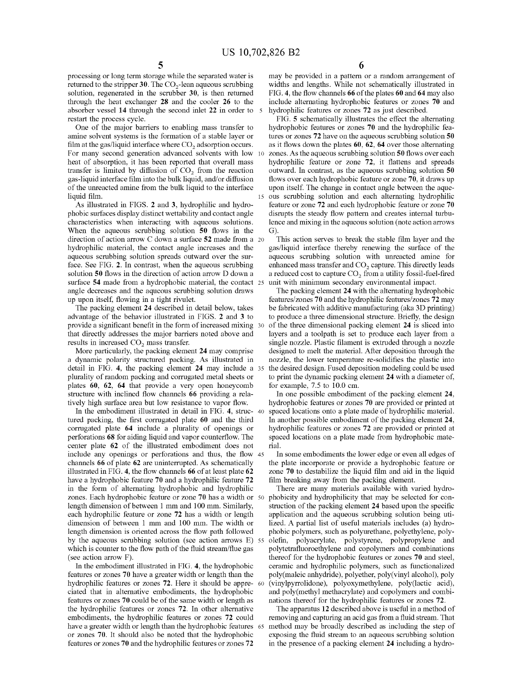processing or long term storage while the separated water is returned to the stripper 30. The CO<sub>2</sub>-lean aqueous scrubbing solution, regenerated in the scrubber **30,** is then returned through the heat exchanger **28** and the cooler **26** to the absorber vessel **14** through the second inlet **22** in order to 5 restart the process cycle.

One of the major barriers to enabling mass transfer to amine solvent systems is the formation of a stable layer or film at the gas/liquid interface where  $CO<sub>2</sub>$  adsorption occurs. For many second generation advanced solvents with low 10 heat of absorption, it has been reported that overall mass transfer is limited by diffusion of  $CO<sub>2</sub>$  from the reaction gas-liquid interface film into the bulk liquid, and/or diffusion of the unreacted amine from the bulk liquid to the interface upon itself. The change in contact angle between the aqueliquid film. 15 ous scrubbing solution and each alternating hydrophilic

As illustrated in FIGS. **2** and **3,** hydrophilic and hydrophobic surfaces display distinct wettability and contact angle characteristics when interacting with aqueous solutions. When the aqueous scrubbing solution **50** flows in the direction of action arrow C down a surface **52** made from a 20 hydrophilic material, the contact angle increases and the aqueous scrubbing solution spreads outward over the surface. See FIG. **2.** In contrast, when the aqueous scrubbing solution **50** flows in the direction of action arrow D down a surface **54** made from a hydrophobic material, the contact 25 angle decreases and the aqueous scrubbing solution draws up upon itself, flowing in a tight rivulet.

The packing element **24** described in detail below, takes advantage of the behavior illustrated in FIGS. **2** and **3** to provide a significant benefit in the form of increased mixing that directly addresses the major barriers noted above and results in increased  $CO<sub>2</sub>$  mass transfer.

More particularly, the packing element **24** may comprise a dynamic polarity structured packing. As illustrated in detail in FIG. **4,** the packing element **24** may include a plurality of random packing and corrugated metal sheets or plates **60, 62, 64** that provide a very open honeycomb structure with inclined flow channels **66** providing a relatively high surface area but low resistance to vapor flow.

tured packing, the first corrugated plate **60** and the third corrugated plate **64** include a plurality of openings or perforations **68** for aiding liquid and vapor counterflow. The center plate **62** of the illustrated embodiment does not include any openings or perforations and thus, the flow 45 channels **66** of plate **62** are uninterrupted. As schematically illustrated in FIG. **4,** the flow channels **66** of at least plate **62**  have a hydrophobic feature **70** and a hydrophilic feature **72**  in the form of alternating hydrophobic and hydrophilic zones. Each hydrophobic feature or zone **70** has a width or 50 length dimension of between 1 mm and 100 mm. Similarly, each hydrophilic feature or zone **72** has a width or length dimension of between 1 mm and 100 mm. The width or length dimension is oriented across the flow path followed by the aqueous scrubbing solution (see action arrows E) which is counter to the flow path of the fluid stream/flue gas (see action arrow F).

In the embodiment illustrated in FIG. **4,** the hydrophobic features or zones **70** have a greater width or length than the hydrophilic features or zones **72.** Here it should be appreciated that in alternative embodiments, the hydrophobic features or zones **70** could be of the same width or length as the hydrophilic features or zones **72.** In other alternative embodiments, the hydrophilic features or zones **72** could have a greater width or length than the hydrophobic features 65 or zones **70.** It should also be noted that the hydrophobic features or zones **70** and the hydrophilic features or zones **72** 

**6** 

may be provided in a pattern or a random arrangement of widths and lengths. While not schematically illustrated in FIG. **4,** the flow channels **66** of the plates **60** and **64** may also include alternating hydrophobic features or zones **70** and hydrophilic features or zones **72** as just described.

FIG. **5** schematically illustrates the effect the alternating hydrophobic features or zones **70** and the hydrophilic features or zones **72** have on the aqueous scrubbing solution **50**  as it flows down the plates **60, 62, 64** over those alternating zones. As the aqueous scrubbing solution **50** flows over each hydrophilic feature or zone **72,** it flattens and spreads outward. In contrast, as the aqueous scrubbing solution **50**  flows over each hydrophobic feature or zone **70,** it draws up feature or zone **72** and each hydrophobic feature or zone **70**  disrupts the steady flow pattern and creates internal turbulence and mixing in the aqueous solution (note action arrows G).

This action serves to break the stable film layer and the gas/liquid interface thereby renewing the surface of the aqueous scrubbing solution with unreacted amine for enhanced mass transfer and  $CO<sub>2</sub>$  capture. This directly leads a reduced cost to capture  $CO<sub>2</sub>$  from a utility fossil-fuel-fired unit with minimum secondary environmental impact.

The packing element **24** with the alternating hydrophobic features/zones **70** and the hydrophilic features/zones **72** may be fabricated with additive manufacturing (aka 3D printing) to produce a three dimensional structure. Briefly, the design 30 of the three dimensional packing element **24** is sliced into layers and a toolpath is set to produce each layer from a single nozzle. Plastic filament is extruded through a nozzle designed to melt the material. After deposition through the nozzle, the lower temperature re-solidifies the plastic into the desired design. Fused deposition modeling could be used to print the dynamic packing element **24** with a diameter of, for example, 7.5 to 10.0 cm.

In one possible embodiment of the packing element **24,**  hydrophobic features or zones **70** are provided or printed at In the embodiment illustrated in detail in FIG. **4,** struc- 40 spaced locations onto a plate made of hydrophilic material. In another possible embodiment of the packing element **24,**  hydrophilic features or zones **72** are provided or printed at spaced locations on a plate made from hydrophobic material.

> In some embodiments the lower edge or even all edges of the plate incorporate or provide a hydrophobic feature or zone **70** to destabilize the liquid film and aid in the liquid film breaking away from the packing element.

> There are many materials available with varied hydrophobicity and hydrophilicity that may be selected for construction of the packing element **24** based upon the specific application and the aqueous scrubbing solution being utilized. A partial list of useful materials includes (a) hydrophobic polymers, such as polyurethane, polyethylene, polyolefin, polyacrylate, polystyrene, polypropylene and polytetrafluoroethylene and copolymers and combinations thereof for the hydrophobic features or zones **70** and steel, ceramic and hydrophilic polymers, such as functionalized poly(maleic anhydride), polyether, poly(vinyl alcohol), poly (vinylpyrrolidone), polyoxymethylene, poly(lactic acid), and poly(methyl methacrylate) and copolymers and combinations thereof for the hydrophilic features or zones **72.**

> The apparatus **12** described above is useful in a method of removing and capturing an acid gas from a fluid stream. That method may be broadly described as including the step of exposing the fluid stream to an aqueous scrubbing solution in the presence of a packing element **24** including a hydro